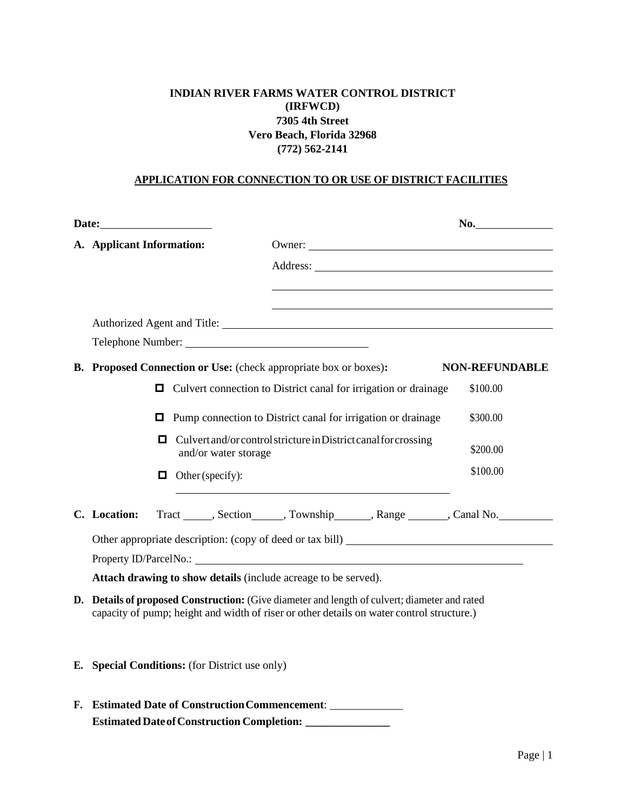## **INDIAN RIVER FARMS WATER CONTROL DISTRICT (IRFWCD) 7305 4th Street Vero Beach, Florida 32968 (772) 562-2141**

#### **APPLICATION FOR CONNECTION TO OR USE OF DISTRICT FACILITIES**

|    |                                                                                                                                                                                         |                                                                                         | No.                   |  |
|----|-----------------------------------------------------------------------------------------------------------------------------------------------------------------------------------------|-----------------------------------------------------------------------------------------|-----------------------|--|
|    | A. Applicant Information:                                                                                                                                                               |                                                                                         |                       |  |
|    |                                                                                                                                                                                         |                                                                                         |                       |  |
|    |                                                                                                                                                                                         |                                                                                         |                       |  |
|    |                                                                                                                                                                                         |                                                                                         |                       |  |
|    |                                                                                                                                                                                         |                                                                                         |                       |  |
|    | <b>B.</b> Proposed Connection or Use: (check appropriate box or boxes):                                                                                                                 |                                                                                         | <b>NON-REFUNDABLE</b> |  |
|    | О                                                                                                                                                                                       | Culvert connection to District canal for irrigation or drainage                         | \$100.00              |  |
|    | О                                                                                                                                                                                       | Pump connection to District canal for irrigation or drainage                            | \$300.00              |  |
|    | о                                                                                                                                                                                       | Culvert and/or control stricture in District canal for crossing<br>and/or water storage |                       |  |
|    | Other (specify):<br>o                                                                                                                                                                   |                                                                                         | \$100.00              |  |
|    | C. Location:                                                                                                                                                                            | Tract ______, Section ______, Township _______, Range _______, Canal No.                |                       |  |
|    |                                                                                                                                                                                         |                                                                                         |                       |  |
|    |                                                                                                                                                                                         |                                                                                         |                       |  |
|    |                                                                                                                                                                                         | Attach drawing to show details (include acreage to be served).                          |                       |  |
| D. | Details of proposed Construction: (Give diameter and length of culvert; diameter and rated<br>capacity of pump; height and width of riser or other details on water control structure.) |                                                                                         |                       |  |

- **E. Special Conditions:** (for District use only)
- **F. Estimated Date of ConstructionCommencement**: \_\_\_\_\_\_\_\_\_\_\_\_\_ **Estimated DateofConstruction Completion: \_\_\_\_\_\_\_\_\_\_\_\_\_\_\_**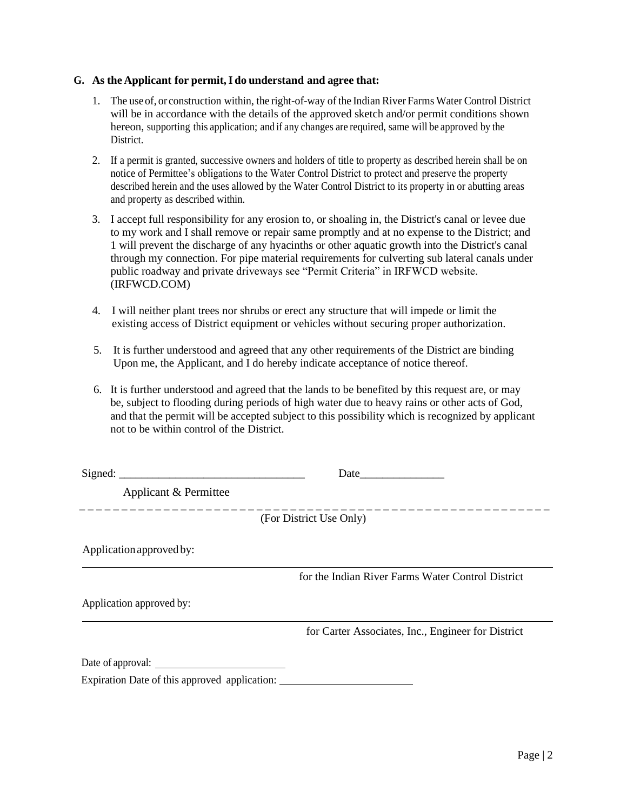#### **G. As the Applicant for permit,I do understand and agree that:**

- 1. The use of, or construction within, the right-of-way of the Indian River Farms Water Control District will be in accordance with the details of the approved sketch and/or permit conditions shown hereon, supporting this application; and if any changes are required, same will be approved by the District.
- 2. If a permit is granted, successive owners and holders of title to property as described herein shall be on notice of Permittee's obligations to the Water Control District to protect and preserve the property described herein and the uses allowed by the Water Control District to its property in or abutting areas and property as described within.
- 3. I accept full responsibility for any erosion to, or shoaling in, the District's canal or levee due to my work and I shall remove or repair same promptly and at no expense to the District; and 1 will prevent the discharge of any hyacinths or other aquatic growth into the District's canal through my connection. For pipe material requirements for culverting sub lateral canals under public roadway and private driveways see "Permit Criteria" in IRFWCD website. (IRFWCD.COM)
- 4. I will neither plant trees nor shrubs or erect any structure that will impede or limit the existing access of District equipment or vehicles without securing proper authorization.
- 5. It is further understood and agreed that any other requirements of the District are binding Upon me, the Applicant, and I do hereby indicate acceptance of notice thereof.
- 6. It is further understood and agreed that the lands to be benefited by this request are, or may be, subject to flooding during periods of high water due to heavy rains or other acts of God, and that the permit will be accepted subject to this possibility which is recognized by applicant not to be within control of the District.

|                                               | Date                                               |
|-----------------------------------------------|----------------------------------------------------|
| Applicant & Permittee                         |                                                    |
|                                               | (For District Use Only)                            |
| Application approved by:                      |                                                    |
|                                               | for the Indian River Farms Water Control District  |
| Application approved by:                      |                                                    |
|                                               | for Carter Associates, Inc., Engineer for District |
| Date of approval:                             |                                                    |
| Expiration Date of this approved application: |                                                    |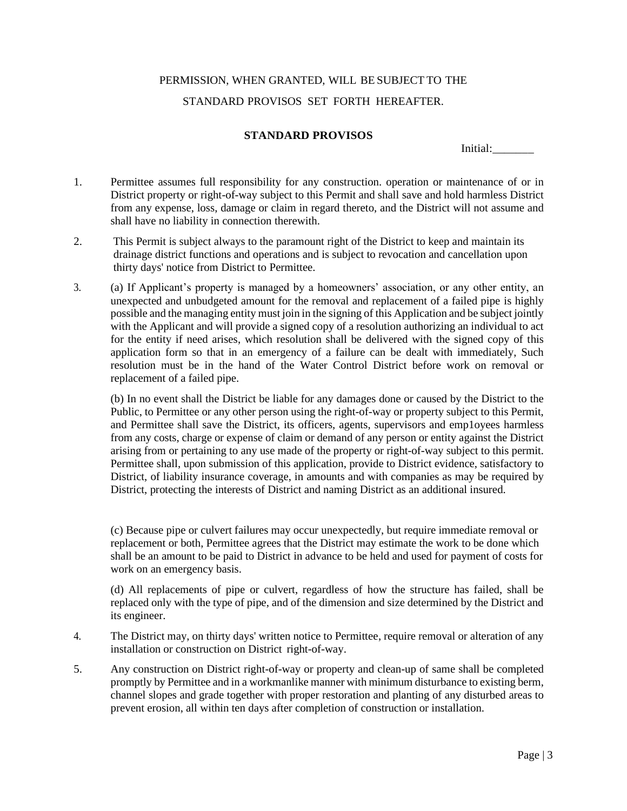# PERMISSION, WHEN GRANTED, WILL BE SUBJECT TO THE STANDARD PROVISOS SET FORTH HEREAFTER.

### **STANDARD PROVISOS**

Initial:

- 1. Permittee assumes full responsibility for any construction. operation or maintenance of or in District property or right-of-way subject to this Permit and shall save and hold harmless District from any expense, loss, damage or claim in regard thereto, and the District will not assume and shall have no liability in connection therewith.
- 2. This Permit is subject always to the paramount right of the District to keep and maintain its drainage district functions and operations and is subject to revocation and cancellation upon thirty days' notice from District to Permittee.
- 3. (a) If Applicant's property is managed by a homeowners' association, or any other entity, an unexpected and unbudgeted amount for the removal and replacement of a failed pipe is highly possible and the managing entity must join in the signing of this Application and be subject jointly with the Applicant and will provide a signed copy of a resolution authorizing an individual to act for the entity if need arises, which resolution shall be delivered with the signed copy of this application form so that in an emergency of a failure can be dealt with immediately, Such resolution must be in the hand of the Water Control District before work on removal or replacement of a failed pipe.

(b) In no event shall the District be liable for any damages done or caused by the District to the Public, to Permittee or any other person using the right-of-way or property subject to this Permit, and Permittee shall save the District, its officers, agents, supervisors and emp1oyees harmless from any costs, charge or expense of claim or demand of any person or entity against the District arising from or pertaining to any use made of the property or right-of-way subject to this permit. Permittee shall, upon submission of this application, provide to District evidence, satisfactory to District, of liability insurance coverage, in amounts and with companies as may be required by District, protecting the interests of District and naming District as an additional insured.

(c) Because pipe or culvert failures may occur unexpectedly, but require immediate removal or replacement or both, Permittee agrees that the District may estimate the work to be done which shall be an amount to be paid to District in advance to be held and used for payment of costs for work on an emergency basis.

(d) All replacements of pipe or culvert, regardless of how the structure has failed, shall be replaced only with the type of pipe, and of the dimension and size determined by the District and its engineer.

- 4. The District may, on thirty days' written notice to Permittee, require removal or alteration of any installation or construction on District right-of-way.
- 5. Any construction on District right-of-way or property and clean-up of same shall be completed promptly by Permittee and in a workmanlike manner with minimum disturbance to existing berm, channel slopes and grade together with proper restoration and planting of any disturbed areas to prevent erosion, all within ten days after completion of construction or installation.